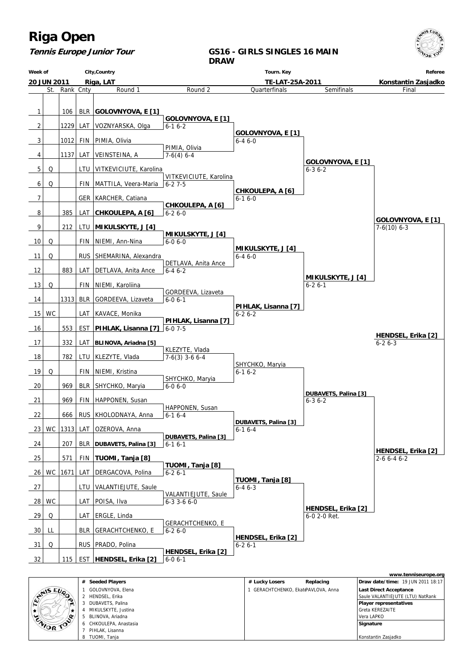

#### **Week of 20 JUN 2011 City,Country Riga, LAT DRAW Tourn. Key TE-LAT-25A-2011 Referee Konstantin Zasjadko** St. Rank Cnty Round 1 1 106 BLR **GOLOVNYOVA, E [1]** 2 | 1229 LAT VOZNYARSKA, Olga  $3$  |  $1012$  FIN PIMIA, Olivia  $4$  | 1137 LAT VEINSTEINA, A 5 Q | LTU VITKEVICIUTE, Karolina 6 Q FIN MATTILA, Veera-Maria 7 | GER | KARCHER, Catiana 8 385 LAT **CHKOULEPA, A [6]** 9 212 LTU **MIKULSKYTE, J [4]** 10 Q FIN NIEMI, Ann-Nina 11 Q | RUS SHEMARINA, Alexandra 12 883 LAT DETLAVA, Anita Ance 13 Q | FIN NIEMI, Karoliina 14 | 1313 BLR GORDEEVA, Lizaveta 15 | WC | | LAT | KAVACE, Monika 16 553 EST **PIHLAK, Lisanna [7]** 17 332 LAT **BLINOVA, Ariadna [5]** 18 782 LTU KLEZYTE, Vlada 19 Q | FIN NIEMI, Kristina 20 | 969 | BLR SHYCHKO, Maryia 21 969 FIN HAPPONEN, Susan 22 666 RUS KHOLODNAYA, Anna 23 WC 1313 LAT OZEROVA, Anna 24 207 BLR **DUBAVETS, Palina [3]** 25 571 FIN **TUOMI, Tanja [8]** 26 WC 1671 LAT DERGACOVA, Polina 27 | | | | LTU | VALANTIEJUTE, Saule  $28|WC|$  LAT POISA, Ilva 29 Q | LAT ERGLE, Linda 30 LL | BLR GERACHTCHENKO, E  $31$  Q RUS PRADO, Polina 32 115 EST **HENDSEL, Erika [2]** Round 2  **GOLOVNYOVA, E [1]** 6-1 6-2 PIMIA, Olivia 7-6(4) 6-4 VITKEVICIUTE, Karolina  $6 - 27 - 5$  **CHKOULEPA, A [6]** 6-2 6-0  **MIKULSKYTE, J [4]** 6-0 6-0 DETLAVA, Anita Ance 6-4 6-2 GORDEEVA, Lizaveta  $6-06-1$  **PIHLAK, Lisanna [7]**  $6 - 07 - 5$  KLEZYTE, Vlada 7-6(3) 3-6 6-4 SHYCHKO, Maryia 6-0 6-0 HAPPONEN, Susan 6-1 6-4  **DUBAVETS, Palina [3]**  $6-16-1$  **TUOMI, Tanja [8]**  $6 - 26 - 1$  VALANTIEJUTE, Saule 6-3 3-6 6-0 GERACHTCHENKO, E 6-2 6-0  **HENDSEL, Erika [2]** 6-0 6-1 **Quarterfinals GOLOVNYOVA, E [1]** 6-4 6-0  **CHKOULEPA, A [6]** 6-1 6-0  **MIKULSKYTE, J [4]** 6-4 6-0  **PIHLAK, Lisanna [7]** 6-2 6-2 SHYCHKO, Maryia 6-1 6-2  **DUBAVETS, Palina [3]**  $6-16-4$  **TUOMI, Tanja [8]** 6-4 6-3  **HENDSEL, Erika [2]** 6-2 6-1 **Semifinals GOLOVNYOVA, E [1]** 6-3 6-2  **MIKULSKYTE, J [4]** 6-2 6-1  **DUBAVETS, Palina [3]** 6-3 6-2  **HENDSEL, Erika [2]** 6-0 2-0 Ret. Final  **GOLOVNYOVA, E [1]** 7-6(10) 6-3  **HENDSEL, Erika [2]** 2-6 6-4 6-2  **HENDSEL, Erika [2]**  $6 - 26 - 3$

|                |              |                        |                                   |           |                                          | www.tenniseurope.org |
|----------------|--------------|------------------------|-----------------------------------|-----------|------------------------------------------|----------------------|
|                | #            | <b>Seeded Players</b>  | # Lucky Losers                    | Replacing | <b>Draw date/time: 19 JUN 2011 18:17</b> |                      |
| <b>SANSEUP</b> |              | GOLOVNYOVA, Elena      | GERACHTCHENKO, EkatePAVLOVA, Anna |           | <b>Last Direct Acceptance</b>            |                      |
|                |              | HENDSEL, Erika         |                                   |           | Saule VALANTIEJUTE (LTU) NatRank         |                      |
| $\bullet$<br>m | 3            | DUBAVETS, Palina       |                                   |           | <b>Player representatives</b>            |                      |
|                |              | MIKULSKYTE, Justina    |                                   |           | <b>Greta KEREZAITE</b>                   |                      |
|                | $\mathbf{b}$ | BLINOVA, Ariadna       |                                   |           | Vera LAPKO                               |                      |
| ENIOR TOP      |              | 6 CHKOULEPA, Anastasia |                                   |           | Signature                                |                      |
|                |              | PIHLAK, Lisanna        |                                   |           |                                          |                      |
|                | 8            | TUOMI, Tanja           |                                   |           | Konstantin Zasjadko                      |                      |

**Tennis Europe Junior Tour**

**GS16 - GIRLS SINGLES 16 MAIN**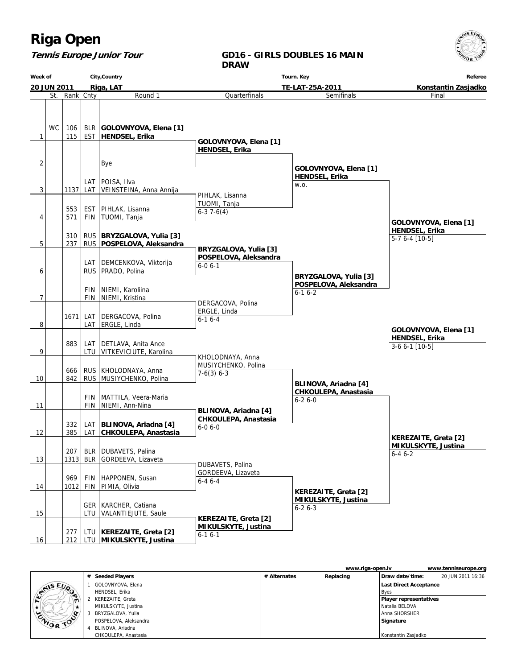### **Tennis Europe Junior Tour**

#### **GD16 - GIRLS DOUBLES 16 MAIN DRAW**

**Week of 20 JUN 2011 City,Country Riga, LAT Tourn. Key TE-LAT-25A-2011 Referee Konstantin Zasjadko** St. Rank Cnty **Round 1** 1 **WC** 115 106 EST BLR **GOLOVNYOVA, Elena [1] HENDSEL, Erika** 2 | Bye  $3$  | 1137 LAT LAT POISA, Ilva VEINSTEINA, Anna Annija 4 571 553 FIN EST | PIHLAK, Lisanna TUOMI, Tanja 5 237 310 RUS RUS **BRYZGALOVA, Yulia [3] POSPELOVA, Aleksandra** 6 | RUS LAT DEMCENKOVA, Viktorija PRADO, Polina 7 | FIN FIN | NIEMI, Karoliina NIEMI, Kristina 8 1671 LAT LAT DERGACOVA, Polina ERGLE, Linda 9 883 LTU LAT DETLAVA, Anita Ance VITKEVICIUTE, Karolina 10 842 666 RUS RUS KHOLODNAYA, Anna MUSIYCHENKO, Polina 11 | FIN FIN MATTILA, Veera-Maria NIEMI, Ann-Nina 12 385 332 LAT LAT **BLINOVA, Ariadna [4] CHKOULEPA, Anastasia** 13 1313 207 BLR BLR DUBAVETS, Palina GORDEEVA, Lizaveta 14 1012 969 FIN FIN | HAPPONEN, Susan PIMIA, Olivia 15 | LTU GER | KARCHER, Catiana VALANTIEJUTE, Saule 16 212 LTU  **MIKULSKYTE, Justina** 277 LTU **KEREZAITE, Greta [2] Quarterfinals GOLOVNYOVA, Elena [1] HENDSEL, Erika** PIHLAK, Lisanna TUOMI, Tanja 6-3 7-6(4)  **BRYZGALOVA, Yulia [3] POSPELOVA, Aleksandra** 6-0 6-1 DERGACOVA, Polina ERGLE, Linda  $6-16-4$  KHOLODNAYA, Anna MUSIYCHENKO, Polina 7-6(3) 6-3  **BLINOVA, Ariadna [4] CHKOULEPA, Anastasia** 6-0 6-0 DUBAVETS, Palina GORDEEVA, Lizaveta 6-4 6-4  **KEREZAITE, Greta [2] MIKULSKYTE, Justina** 6-1 6-1 Semifinals  **GOLOVNYOVA, Elena [1] HENDSEL, Erika** w.o.  **BRYZGALOVA, Yulia [3] POSPELOVA, Aleksandra** 6-1 6-2  **BLINOVA, Ariadna [4] CHKOULEPA, Anastasia** 6-2 6-0  **KEREZAITE, Greta [2] MIKULSKYTE, Justina** 6-2 6-3 Final  **GOLOVNYOVA, Elena [1] HENDSEL, Erika** 5-7 6-4 [10-5]  **KEREZAITE, Greta [2] MIKULSKYTE, Justina** 6-4 6-2  **GOLOVNYOVA, Elena [1] HENDSEL, Erika** 3-6 6-1 [10-5]

|                  |   |                       |              | www.riga-open.ly |                        | www.tenniseurope.org |
|------------------|---|-----------------------|--------------|------------------|------------------------|----------------------|
|                  |   | # Seeded Players      | # Alternates | Replacing        | Draw date/time:        | 20 JUN 2011 16:36    |
| <b>STAIS EUP</b> |   | GOLOVNYOVA, Elena     |              |                  | Last Direct Acceptance |                      |
|                  |   | HENDSEL, Erika        |              |                  | <b>Byes</b>            |                      |
| $\blacksquare$   |   | KEREZAITE, Greta      |              |                  | Player representatives |                      |
|                  |   | MIKULSKYTE, Justina   |              |                  | I Natalia BELOVA       |                      |
| o                |   | BRYZGALOVA, Yulia     |              |                  | l Anna SHORSHER        |                      |
| <b>CAIOR TOO</b> |   | POSPELOVA, Aleksandra |              |                  | Signature              |                      |
|                  | 4 | BLINOVA, Ariadna      |              |                  |                        |                      |
|                  |   | CHKOULEPA, Anastasia  |              |                  | Konstantin Zasjadko    |                      |

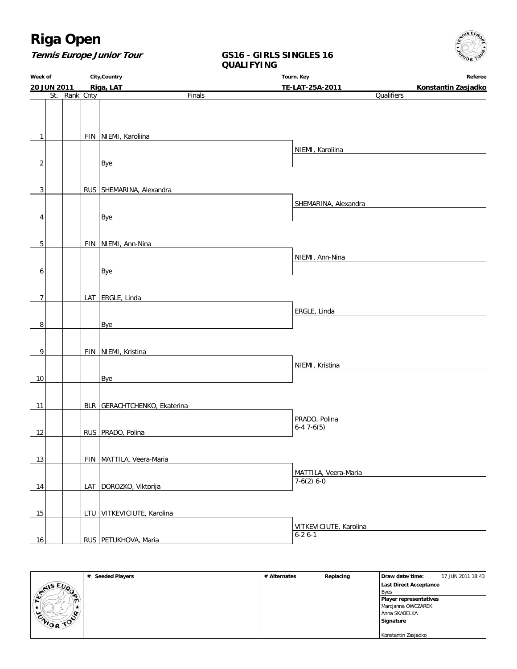

### **Tennis Europe Junior Tour**

### **GS16 - GIRLS SINGLES 16 QUALIFYING**

| Week of        |               | City, Country                                                                                                                                | Tourn. Key                                         | Referee             |  |
|----------------|---------------|----------------------------------------------------------------------------------------------------------------------------------------------|----------------------------------------------------|---------------------|--|
| 20 JUN 2011    |               | Riga, LAT                                                                                                                                    | TE-LAT-25A-2011                                    | Konstantin Zasjadko |  |
|                | St. Rank Cnty | Finals                                                                                                                                       | Qualifiers                                         |                     |  |
|                |               |                                                                                                                                              |                                                    |                     |  |
|                |               |                                                                                                                                              |                                                    |                     |  |
|                |               |                                                                                                                                              |                                                    |                     |  |
| $\mathbf{1}$   |               | FIN   NIEMI, Karoliina                                                                                                                       |                                                    |                     |  |
|                |               |                                                                                                                                              | NIEMI, Karoliina                                   |                     |  |
| $\overline{2}$ |               | Bye<br><u> 1989 - John Stein, Amerikaansk politiker (* 1908)</u>                                                                             |                                                    |                     |  |
|                |               |                                                                                                                                              |                                                    |                     |  |
|                |               |                                                                                                                                              |                                                    |                     |  |
| 3              |               | RUS SHEMARINA, Alexandra                                                                                                                     |                                                    |                     |  |
|                |               |                                                                                                                                              | SHEMARINA, Alexandra                               |                     |  |
| 4              |               | <b>Bye</b>                                                                                                                                   |                                                    |                     |  |
|                |               |                                                                                                                                              |                                                    |                     |  |
|                |               |                                                                                                                                              |                                                    |                     |  |
| 5              |               | FIN NIEMI, Ann-Nina<br><u> 1989 - Johann Harry Harry Harry Harry Harry Harry Harry Harry Harry Harry Harry Harry Harry Harry Harry Harry</u> |                                                    |                     |  |
|                |               |                                                                                                                                              | NIEMI, Ann-Nina                                    |                     |  |
| 6              |               | Bye                                                                                                                                          |                                                    |                     |  |
|                |               |                                                                                                                                              |                                                    |                     |  |
|                |               |                                                                                                                                              |                                                    |                     |  |
| $\overline{7}$ |               | LAT ERGLE, Linda                                                                                                                             |                                                    |                     |  |
|                |               |                                                                                                                                              | ERGLE, Linda                                       |                     |  |
| 8              |               | Bye<br>the control of the control of the control of the control of the control of the control of                                             |                                                    |                     |  |
|                |               |                                                                                                                                              |                                                    |                     |  |
|                |               |                                                                                                                                              |                                                    |                     |  |
| 9              |               | FIN   NIEMI, Kristina                                                                                                                        |                                                    |                     |  |
|                |               |                                                                                                                                              | NIEMI, Kristina<br><u> 1990 - Jan Alexandria (</u> |                     |  |
| 10             |               | Bye                                                                                                                                          |                                                    |                     |  |
|                |               |                                                                                                                                              |                                                    |                     |  |
|                |               |                                                                                                                                              |                                                    |                     |  |
| 11             |               | BLR GERACHTCHENKO, Ekaterina                                                                                                                 |                                                    |                     |  |
|                |               |                                                                                                                                              | PRADO, Polina                                      |                     |  |
| 12             |               | RUS   PRADO, Polina                                                                                                                          | $6-47-6(5)$                                        |                     |  |
|                |               |                                                                                                                                              |                                                    |                     |  |
|                |               |                                                                                                                                              |                                                    |                     |  |
| $13$           |               | FIN   MATTILA, Veera-Maria                                                                                                                   |                                                    |                     |  |
|                |               |                                                                                                                                              | MATTILA, Veera-Maria                               |                     |  |
| 14             |               | LAT DOROZKO, Viktorija                                                                                                                       | $7-6(2)$ 6-0                                       |                     |  |
|                |               |                                                                                                                                              |                                                    |                     |  |
|                |               |                                                                                                                                              |                                                    |                     |  |
| 15             |               | LTU VITKEVICIUTE, Karolina                                                                                                                   |                                                    |                     |  |
|                |               |                                                                                                                                              | VITKEVICIUTE, Karolina                             |                     |  |
| $16$           |               | RUS   PETUKHOVA, Maria                                                                                                                       | $6-26-1$                                           |                     |  |
|                |               |                                                                                                                                              |                                                    |                     |  |

|                       | # Seeded Players | # Alternates | Replacing | Draw date/time:               | 17 JUN 2011 18:43 |
|-----------------------|------------------|--------------|-----------|-------------------------------|-------------------|
|                       |                  |              |           | Last Direct Acceptance        |                   |
| <b>STAIS EUP</b><br>∙ |                  |              |           | <b>Byes</b>                   |                   |
| $\mathbf{m}$          |                  |              |           | <b>Player representatives</b> |                   |
|                       |                  |              |           | Marcjanna OWCZAREK            |                   |
| $\sim$                |                  |              |           | Anna SKABELKA                 |                   |
| <b>CAIOR TOP</b>      |                  |              |           | Signature                     |                   |
|                       |                  |              |           |                               |                   |
|                       |                  |              |           | Konstantin Zasjadko           |                   |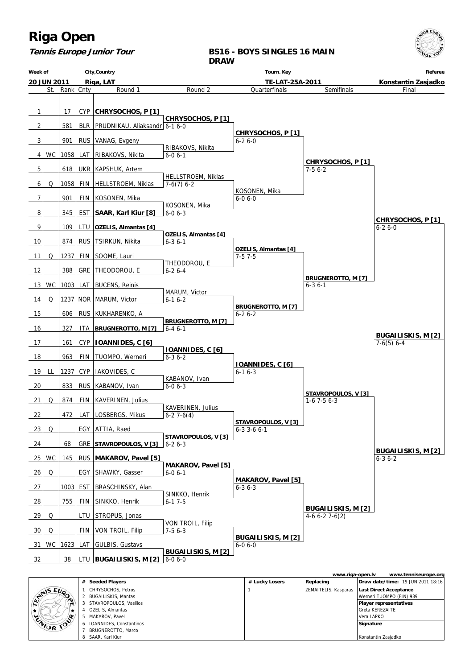| <b>Riga Open</b><br><b>Tennis Europe Junior Tour</b> |             |           |            |                                | <b>DRAW</b>                                 | <b>BS16 - BOYS SINGLES 16 MAIN</b>        |                                            | AIS EU<br>OR TO                           |
|------------------------------------------------------|-------------|-----------|------------|--------------------------------|---------------------------------------------|-------------------------------------------|--------------------------------------------|-------------------------------------------|
| City, Country<br>Week of                             |             |           |            |                                |                                             |                                           | Referee                                    |                                           |
|                                                      | 20 JUN 2011 |           |            | Riga, LAT                      |                                             | TE-LAT-25A-2011                           |                                            | Konstantin Zasjadko                       |
|                                                      | St.         | Rank Cnty |            | Round 1                        | Round <sub>2</sub>                          | Quarterfinals                             | Semifinals                                 | Final                                     |
| 1                                                    |             | 17        | <b>CYP</b> | CHRYSOCHOS, P [1]              |                                             |                                           |                                            |                                           |
| $\overline{2}$                                       |             | 581       | <b>BLR</b> | PRUDNIKAU, Aliaksandr 6-1 6-0  | CHRYSOCHOS, P [1]                           |                                           |                                            |                                           |
| 3                                                    |             | 901       |            | RUS   VANAG, Evgeny            |                                             | CHRYSOCHOS, P [1]<br>$6 - 26 - 0$         |                                            |                                           |
| 4                                                    |             | WC   1058 | LAT        | RIBAKOVS, Nikita               | RIBAKOVS, Nikita<br>$6 - 06 - 1$            |                                           |                                            |                                           |
| 5                                                    |             | 618       |            | UKR   KAPSHUK, Artem           |                                             |                                           | CHRYSOCHOS, P [1]<br>$7-56-2$              |                                           |
| 6                                                    | Q           | 1058      | FIN        | HELLSTROEM, Niklas             | HELLSTROEM, Niklas<br>$7-6(7)$ 6-2          |                                           |                                            |                                           |
| 7                                                    |             | 901       | FIN        | KOSONEN, Mika                  |                                             | KOSONEN, Mika<br>$6 - 06 - 0$             |                                            |                                           |
| 8                                                    |             | 345       | EST        | SAAR, Karl Kiur [8]            | KOSONEN, Mika<br>$6 - 06 - 3$               |                                           |                                            |                                           |
| 9                                                    |             | 109       | LTU        | OZELIS, Almantas [4]           |                                             |                                           |                                            | CHRYSOCHOS, P [1]<br>$6 - 26 - 0$         |
| 10                                                   |             | 874       | <b>RUS</b> | <b>TSIRKUN, Nikita</b>         | <b>OZELIS, Almantas [4]</b><br>$6 - 36 - 1$ |                                           |                                            |                                           |
| 11                                                   | Q           | 1237      | <b>FIN</b> | SOOME, Lauri                   |                                             | OZELIS, Almantas [4]<br>$7-57-5$          |                                            |                                           |
| 12                                                   |             | 388       | GRE        | THEODOROU, E                   | THEODOROU, E<br>$6 - 26 - 4$                |                                           |                                            |                                           |
| 13                                                   | WC.         | 1003      | LAT        | <b>BUCENS, Reinis</b>          |                                             |                                           | <b>BRUGNEROTTO, M [7]</b><br>$6 - 3$ 6 - 1 |                                           |
| 14                                                   | Q           | 1237      | NOR        | MARUM, Victor                  | MARUM, Victor<br>$6-16-2$                   |                                           |                                            |                                           |
| 15                                                   |             | 606       | <b>RUS</b> | KUKHARENKO, A                  |                                             | <b>BRUGNEROTTO, M [7]</b><br>$6 - 26 - 2$ |                                            |                                           |
| 16                                                   |             | 327       | ITA        | <b>BRUGNEROTTO, M [7]</b>      | BRUGNEROTTO, M [7]<br>$6 - 46 - 1$          |                                           |                                            |                                           |
| 17                                                   |             | 161       | <b>CYP</b> | <b>IOANNIDES, C [6]</b>        |                                             |                                           |                                            | <b>BUGAILISKIS, M [2]</b><br>$7-6(5)$ 6-4 |
| 18                                                   |             | 963       | FIN        | TUOMPO, Werneri                | <b>IOANNIDES, C [6]</b><br>$6 - 36 - 2$     |                                           |                                            |                                           |
|                                                      | LL          | 1237      |            | CYP   IAKOVIDES, C             |                                             | <b>IOANNIDES, C [6]</b>                   |                                            |                                           |
| 19                                                   |             |           |            |                                | KABANOV, Ivan                               | $6 - 16 - 3$                              |                                            |                                           |
| 20                                                   |             | 833       |            | RUS   KABANOV, Ivan            | $6 - 06 - 3$                                |                                           | STAVROPOULOS, V [3]                        |                                           |
| 21                                                   | Q           | 874       | FIN        | KAVERINEN, Julius              | KAVERINEN, Julius                           |                                           | $1-6$ 7 $-5$ 6 $-3$                        |                                           |
| 22                                                   |             | 472       | LAT        | LOSBERGS, Mikus                | $6-27-6(4)$                                 | STAVROPOULOS, V[3]                        |                                            |                                           |
| 23                                                   | Q           |           | EGY        | ATTIA, Raed                    | STAVROPOULOS, V [3]                         | $6 - 3$ 3 $-6$ 6 $-1$                     |                                            |                                           |
| 24                                                   |             | 68        |            | GRE STAVROPOULOS, V [3]        | $6 - 26 - 3$                                |                                           |                                            | <b>BUGAILISKIS, M [2]</b>                 |
| 25 <sub>1</sub>                                      | WC          | 145       |            | RUS   MAKAROV, Pavel [5]       | <b>MAKAROV, Pavel [5]</b>                   |                                           |                                            | $6 - 36 - 2$                              |
| 26                                                   | Q           |           |            | EGY   SHAWKY, Gasser           | $6 - 0 6 - 1$                               | <b>MAKAROV, Pavel [5]</b>                 |                                            |                                           |
| 27                                                   |             |           |            | 1003   EST   BRASCHINSKY, Alan |                                             | $6 - 36 - 3$                              |                                            |                                           |

**www.riga-open.lv www.tenniseurope.org # Seeded Players # Lucky Losers Replacing Draw date/time:** 19 JUN 2011 18:16  **Last Direct Acceptance** EVAIS EURO 1 CHRYSOCHOS, Petros 1 ZEMAITELIS, Kasparas Werneri TUOMPO (FIN) 939 2 BUGAILISKIS, Mantas 3 STAVROPOULOS, Vasilios  **Player representatives**  $\star$ 4 OZELIS, Almantas Greta KEREZAITE ENIOR TOO 5 MAKAROV, Pavel Vera LAPKO 6 IOANNIDES, Constantinos  **Signature** 7 BRUGNEROTTO, Marco 8 SAAR, Karl Kiur Konstantin Zasjadko

6-0 6-0

 **BUGAILISKIS, M [2]**

 **BUGAILISKIS, M [2]** 4-6 6-2 7-6(2)

 SINKKO, Henrik  $6 - 17 - 5$ 

 VON TROIL, Filip 7-5 6-3

 **BUGAILISKIS, M [2]**

### **Tennis Europe Junior Tour**

28 | 755 | FIN SINKKO, Henrik  $29$  Q LTU STROPUS, Jonas  $30 \vert \Omega \vert$  FIN VON TROIL, Filip 31 WC 1623 LAT GULBIS, Gustavs

32 38 LTU **BUGAILISKIS, M [2]** 6-0 6-0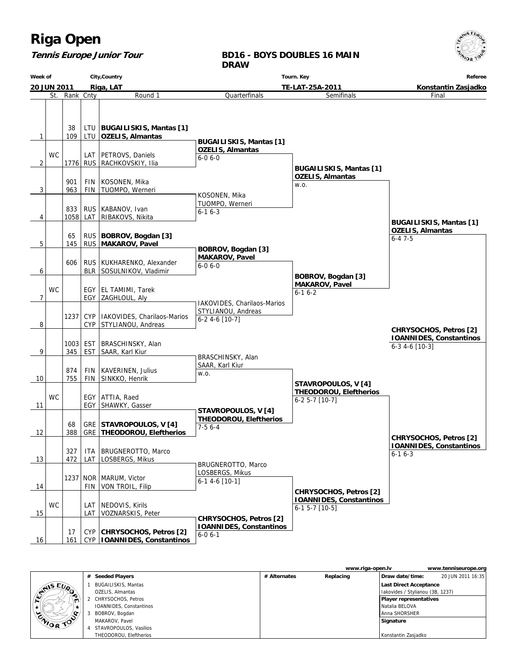#### **Tennis Europe Junior Tour**

#### **BD16 - BOYS DOUBLES 16 MAIN DRAW**

**Week of 20 JUN 2011 City,Country Riga, LAT Tourn. Key TE-LAT-25A-2011 Referee Konstantin Zasjadko** St. Rank Cnty **Round 1** 1 109 38 LTU LTU **BUGAILISKIS, Mantas [1] OZELIS, Almantas**  $\mathfrak{D}$ **WC** 1776 RUS LAT | PETROVS, Daniels RACHKOVSKIY, Ilia  $3$  | 963 901 FIN FIN KOSONEN, Mika TUOMPO, Werneri 4 1058 833 LAT RUS | KABANOV, Ivan RIBAKOVS, Nikita 5 145 65 RUS RUS **BOBROV, Bogdan [3] MAKAROV, Pavel** 6 606 BLR RUS | KUKHARENKO, Alexander SOSULNIKOV, Vladimir 7 WC EGY EGY | EL TAMIMI, Tarek ZAGHLOUL, Aly 8 1237 CYP CYP IAKOVIDES, Charilaos-Marios STYLIANOU, Andreas 9 345 1003 EST EST | BRASCHINSKY, Alan SAAR, Karl Kiur 10 755 874 FIN FIN KAVERINEN, Julius SINKKO, Henrik 11 **WC** EGY EGY ATTIA, Raed SHAWKY, Gasser 12 388 68 GRE GRE STAVROPOULOS, V [4]  **THEODOROU, Eleftherios** 13 472 327 LAT ITA BRUGNEROTTO, Marco LOSBERGS, Mikus 14 1237 FIN NOR | MARUM, Victor VON TROIL, Filip 15 **WC** LAT LAT | NEDOVIS, Kirils VOZNARSKIS, Peter 16 | 161 17 CYP  **IOANNIDES, Constantinos** CYP **CHRYSOCHOS, Petros [2] Quarterfinals BUGAILISKIS, Mantas [1] OZELIS, Almantas** 6-0 6-0 KOSONEN, Mika TUOMPO, Werneri 6-1 6-3  **BOBROV, Bogdan [3] MAKAROV, Pavel** 6-0 6-0 IAKOVIDES, Charilaos-Marios STYLIANOU, Andreas 6-2 4-6 [10-7] BRASCHINSKY, Alan SAAR, Karl Kiur w.o.  **STAVROPOULOS, V [4] THEODOROU, Eleftherios** 7-5 6-4 BRUGNEROTTO, Marco LOSBERGS, Mikus 6-1 4-6 [10-1]  **CHRYSOCHOS, Petros [2] IOANNIDES, Constantinos** 6-0 6-1 Semifinals  **BUGAILISKIS, Mantas [1] OZELIS, Almantas** w.o.  **BOBROV, Bogdan [3] MAKAROV, Pavel** 6-1 6-2  **STAVROPOULOS, V [4] THEODOROU, Eleftherios** 6-2 5-7 [10-7]  **CHRYSOCHOS, Petros [2] IOANNIDES, Constantinos** 6-1 5-7 [10-5] Final  **BUGAILISKIS, Mantas [1] OZELIS, Almantas** 6-4 7-5  **CHRYSOCHOS, Petros [2] IOANNIDES, Constantinos** 6-1 6-3  **CHRYSOCHOS, Petros [2] IOANNIDES, Constantinos** 6-3 4-6 [10-3]

|                  |                            |              | www.riga-open.ly |                                  | www.tenniseurope.org |
|------------------|----------------------------|--------------|------------------|----------------------------------|----------------------|
|                  | # Seeded Players           | # Alternates | Replacing        | Draw date/time:                  | 20 JUN 2011 16:35    |
| <b>STAIS EUP</b> | <b>BUGAILISKIS, Mantas</b> |              |                  | Last Direct Acceptance           |                      |
|                  | OZELIS, Almantas           |              |                  | Iakovides / Stylianou (3B, 1237) |                      |
| $\blacksquare$   | CHRYSOCHOS, Petros         |              |                  | <b>Player representatives</b>    |                      |
|                  | IOANNIDES, Constantinos    |              |                  | l Natalia BELOVA                 |                      |
| o                | BOBROV, Bogdan             |              |                  | l Anna SHORSHER                  |                      |
| <b>CAIOR TOO</b> | MAKAROV, Pavel             |              |                  | Signature                        |                      |
|                  | 4 STAVROPOULOS, Vasilios   |              |                  |                                  |                      |
|                  | THEODOROU, Eleftherios     |              |                  | Konstantin Zasjadko              |                      |